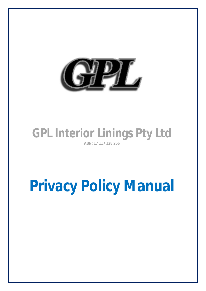

# **GPL Interior Linings Pty Ltd ABN: 17 117 128 266**

# **Privacy Policy Manual**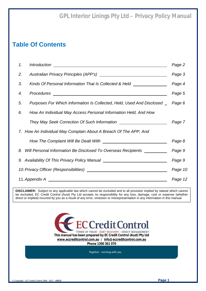### **Table Of Contents**

| 1. | Introduction<br><u> 1989 - Johann Stein, marking ar yn y brening yn y brening yn y brening yn y brening y brening yn y brening y</u> | Page 2  |
|----|--------------------------------------------------------------------------------------------------------------------------------------|---------|
| 2. | Australian Privacy Principles (APP's) [2000] [2010] Australian Privacy Principles (APP's)                                            | Page 3  |
| 3. | Kinds Of Personal Information That Is Collected & Held _______________                                                               | Page 4  |
| 4. |                                                                                                                                      | Page 5  |
| 5. | Purposes For Which Information Is Collected, Held, Used And Disclosed _                                                              | Page 6  |
| 6. | How An Individual May Access Personal Information Held, And How                                                                      |         |
|    | They May Seek Correction Of Such Information ___________________________________                                                     | Page 7  |
|    | 7. How An Individual May Complain About A Breach Of The APP, And                                                                     |         |
|    |                                                                                                                                      | Page 8  |
|    | 8. Will Personal Information Be Disclosed To Overseas Recipients __________                                                          | Page 9  |
|    | 9. Availability Of This Privacy Policy Manual <b>State Address Control Control Control</b>                                           | Page 9  |
|    |                                                                                                                                      | Page 10 |
|    |                                                                                                                                      | Page 12 |

 **DISCLAIMER:** Subject to any applicable law which cannot be excluded and to all provision implied by statute which cannot  direct or implied) incurred by you as a result of any error, omission or misrepresentation in any information in this manual. be excluded, EC Credit Control (Aust) Pty Ltd accepts no responsibility for any loss, damage, cost or expense (whether



Together - working with you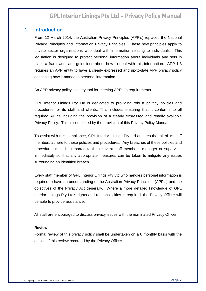### **1. Introduction**

From 12 March 2014, the Australian Privacy Principles (APP's) replaced the National Privacy Principles and Information Privacy Principles. These new principles apply to private sector organisations who deal with information relating to individuals. This legislation is designed to protect personal information about individuals and sets in place a framework and guidelines about how to deal with this information. APP 1.3 requires an APP entity to have a clearly expressed and up-to-date APP privacy policy describing how it manages personal information.

An APP privacy policy is a key tool for meeting APP 1's requirements.

GPL Interior Linings Pty Ltd is dedicated to providing robust privacy policies and procedures for its staff and clients. This includes ensuring that it conforms to all required APP's including the provision of a clearly expressed and readily available Privacy Policy. This is completed by the provision of this Privacy Policy Manual.

To assist with this compliance, GPL Interior Linings Pty Ltd ensures that all of its staff members adhere to these policies and procedures. Any breaches of these policies and procedures must be reported to the relevant staff member's manager or supervisor immediately so that any appropriate measures can be taken to mitigate any issues surrounding an identified breach.

Every staff member of GPL Interior Linings Pty Ltd who handles personal information is required to have an understanding of the Australian Privacy Principles (APP's) and the objectives of the Privacy Act generally. Where a more detailed knowledge of GPL Interior Linings Pty Ltd's rights and responsibilities is required, the Privacy Officer will be able to provide assistance.

All staff are encouraged to discuss privacy issues with the nominated Privacy Officer.

### **Review**

Formal review of this privacy policy shall be undertaken on a 6 monthly basis with the details of this review recorded by the Privacy Officer.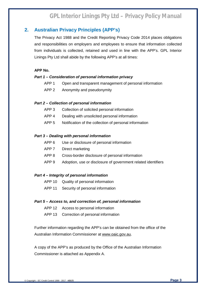### **2. Australian Privacy Principles (APP's)**

The Privacy Act 1988 and the Credit Reporting Privacy Code 2014 places obligations and responsibilities on employers and employees to ensure that information collected from individuals is collected, retained and used in line with the APP's. GPL Interior Linings Pty Ltd shall abide by the following APP's at all times:

### **APP No.**

### *Part 1 – Consideration of personal information privacy*

- APP 1 Open and transparent management of personal information
- APP 2 Anonymity and pseudonymity

### *Part 2 – Collection of personal information*

- APP 3 Collection of solicited personal information
- APP 4 Dealing with unsolicited personal information
- APP 5 Notification of the collection of personal information

### *Part 3 – Dealing with personal information*

- APP 6 Use or disclosure of personal information
- APP 7 Direct marketing
- APP 8 Cross-border disclosure of personal information
- APP 9 Adoption, use or disclosure of government related identifiers

### *Part 4 – Integrity of personal information*

- APP 10 Quality of personal information
- APP 11 Security of personal information

#### *Part 5 – Access to, and correction of, personal information*

- APP 12 Access to personal information
- APP 13 Correction of personal information

Further information regarding the APP's can be obtained from the office of the Australian Information Commissioner at [www.oaic.gov.au](http://www.oaic.gov.au).

A copy of the APP's as produced by the Office of the Australian Information Commissioner is attached as Appendix A.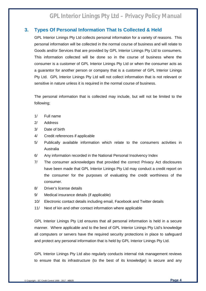### **3. Types Of Personal Information That Is Collected & Held**

GPL Interior Linings Pty Ltd collects personal information for a variety of reasons. This personal information will be collected in the normal course of business and will relate to Goods and/or Services that are provided by GPL Interior Linings Pty Ltd to consumers. This information collected will be done so in the course of business where the consumer is a customer of GPL Interior Linings Pty Ltd or when the consumer acts as a guarantor for another person or company that is a customer of GPL Interior Linings Pty Ltd. GPL Interior Linings Pty Ltd will not collect information that is not relevant or sensitive in nature unless it is required in the normal course of business.

The personal information that is collected may include, but will not be limited to the following;

- 1/ Full name
- 2/ Address
- 3/ Date of birth
- 4/ Credit references if applicable
- 5/ Publically available information which relate to the consumers activities in Australia
- 6/ Any information recorded in the National Personal Insolvency Index
- 7/ The consumer acknowledges that provided the correct Privacy Act disclosures have been made that GPL Interior Linings Pty Ltd may conduct a credit report on the consumer for the purposes of evaluating the credit worthiness of the consumer.
- 8/ Driver's license details
- 9/ Medical insurance details (if applicable)
- 10/ Electronic contact details including email, Facebook and Twitter details
- 11/ Next of kin and other contact information where applicable

GPL Interior Linings Pty Ltd ensures that all personal information is held in a secure manner. Where applicable and to the best of GPL Interior Linings Pty Ltd's knowledge all computers or servers have the required security protections in place to safeguard and protect any personal information that is held by GPL Interior Linings Pty Ltd.

GPL Interior Linings Pty Ltd also regularly conducts internal risk management reviews to ensure that its infrastructure (to the best of its knowledge) is secure and any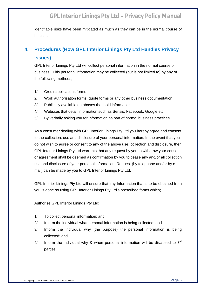identifiable risks have been mitigated as much as they can be in the normal course of business.

### **4. Procedures (How GPL Interior Linings Pty Ltd Handles Privacy Issues)**

GPL Interior Linings Pty Ltd will collect personal information in the normal course of business. This personal information may be collected (but is not limited to) by any of the following methods;

- 1/ Credit applications forms
- 2/ Work authorisation forms, quote forms or any other business documentation
- 3/ Publically available databases that hold information
- 4/ Websites that detail information such as Sensis, Facebook, Google etc
- 5/ By verbally asking you for information as part of normal business practices

As a consumer dealing with GPL Interior Linings Pty Ltd you hereby agree and consent to the collection, use and disclosure of your personal information. In the event that you do not wish to agree or consent to any of the above use, collection and disclosure, then GPL Interior Linings Pty Ltd warrants that any request by you to withdraw your consent or agreement shall be deemed as confirmation by you to cease any and/or all collection use and disclosure of your personal information. Request (by telephone and/or by email) can be made by you to GPL Interior Linings Pty Ltd.

GPL Interior Linings Pty Ltd will ensure that any Information that is to be obtained from you is done so using GPL Interior Linings Pty Ltd's prescribed forms which;

Authorise GPL Interior Linings Pty Ltd:

- 1/ To collect personal information; and
- 2/ Inform the individual what personal information is being collected; and
- 3/ Inform the individual why (the purpose) the personal information is being collected; and
- 4/ Inform the individual why & when personal information will be disclosed to  $3<sup>rd</sup>$ parties.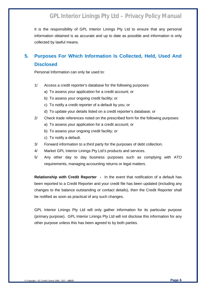It is the responsibility of GPL Interior Linings Pty Ltd to ensure that any personal information obtained is as accurate and up to date as possible and information is only collected by lawful means.

### **5. Purposes For Which Information Is Collected, Held, Used And Disclosed**

Personal Information can only be used to:

- 1/ Access a credit reporter's database for the following purposes:
	- a) To assess your application for a credit account; or
	- b) To assess your ongoing credit facility; or
	- c) To notify a credit reporter of a default by you; or
	- d) To update your details listed on a credit reporter's database; or
- 2/ Check trade references noted on the prescribed form for the following purposes:
	- a) To assess your application for a credit account; or
	- b) To assess your ongoing credit facility; or
	- c) To notify a default.
- 3/ Forward information to a third party for the purposes of debt collection.
- 4/ Market GPL Interior Linings Pty Ltd's products and services.
- 5/ Any other day to day business purposes such as complying with ATO requirements, managing accounting returns or legal matters.

**Relationship with Credit Reporter -** In the event that notification of a default has been reported to a Credit Reporter and your credit file has been updated (including any changes to the balance outstanding or contact details), then the Credit Reporter shall be notified as soon as practical of any such changes.

GPL Interior Linings Pty Ltd will only gather information for its particular purpose (primary purpose). GPL Interior Linings Pty Ltd will not disclose this information for any other purpose unless this has been agreed to by both parties.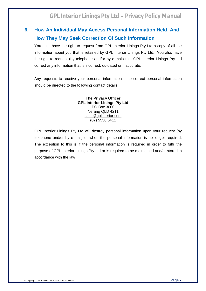### **6. How An Individual May Access Personal Information Held, And How They May Seek Correction Of Such Information**

You shall have the right to request from GPL Interior Linings Pty Ltd a copy of all the information about you that is retained by GPL Interior Linings Pty Ltd. You also have the right to request (by telephone and/or by e-mail) that GPL Interior Linings Pty Ltd correct any information that is incorrect, outdated or inaccurate.

Any requests to receive your personal information or to correct personal information should be directed to the following contact details;

> **The Privacy Officer GPL Interior Linings Pty Ltd**  PO Box 3000 Nerang QLD 4211 [scott@gplinterior.com](mailto:scott@gplinterior.com) (07) 5530 6411

GPL Interior Linings Pty Ltd will destroy personal information upon your request (by telephone and/or by e-mail) or when the personal information is no longer required. The exception to this is if the personal information is required in order to fulfil the purpose of GPL Interior Linings Pty Ltd or is required to be maintained and/or stored in accordance with the law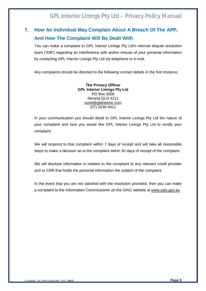### **7. How An Individual May Complain About A Breach Of The APP, And How The Complaint Will Be Dealt With**

You can make a complaint to GPL Interior Linings Pty Ltd's internal dispute resolution team ('IDR') regarding an interference with and/or misuse of your personal information by contacting GPL Interior Linings Pty Ltd via telephone or e-mail.

Any complaints should be directed to the following contact details in the first instance;

**The Privacy Officer GPL Interior Linings Pty Ltd**  PO Box 3000 Nerang QLD 4211 [scott@gplinterior.com](mailto:scott@gplinterior.com) (07) 5530 6411

In your communication you should detail to GPL Interior Linings Pty Ltd the nature of your complaint and how you would like GPL Interior Linings Pty Ltd to rectify your complaint.

We will respond to that complaint within 7 days of receipt and will take all reasonable steps to make a decision as to the complaint within 30 days of receipt of the complaint.

We will disclose information in relation to the complaint to any relevant credit provider and or CRB that holds the personal information the subject of the complaint.

In the event that you are not satisfied with the resolution provided, then you can make a complaint to the Information Commissioner on the OAIC website at [www.oaic.gov.au](http://www.oaic.gov.au)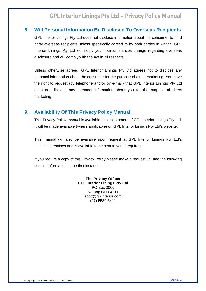### **8. Will Personal Information Be Disclosed To Overseas Recipients**

GPL Interior Linings Pty Ltd does not disclose information about the consumer to third party overseas recipients unless specifically agreed to by both parties in writing. GPL Interior Linings Pty Ltd will notify you if circumstances change regarding overseas disclosure and will comply with the Act in all respects

Unless otherwise agreed, GPL Interior Linings Pty Ltd agrees not to disclose any personal information about the consumer for the purpose of direct marketing. You have the right to request (by telephone and/or by e-mail) that GPL Interior Linings Pty Ltd does not disclose any personal information about you for the purpose of direct marketing

### **9. Availability Of This Privacy Policy Manual**

This Privacy Policy manual is available to all customers of GPL Interior Linings Pty Ltd. It will be made available (where applicable) on GPL Interior Linings Pty Ltd's website.

This manual will also be available upon request at GPL Interior Linings Pty Ltd's business premises and is available to be sent to you if required.

If you require a copy of this Privacy Policy please make a request utilising the following contact information in the first instance;

> **The Privacy Officer GPL Interior Linings Pty Ltd**  PO Box 3000 Nerang QLD 4211 [scott@gplinterior.com](mailto:scott@gplinterior.com) (07) 5530 6411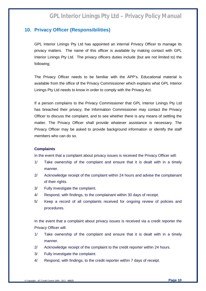### **10. Privacy Officer (Responsibilities)**

GPL Interior Linings Pty Ltd has appointed an internal Privacy Officer to manage its privacy matters. The name of this officer is available by making contact with GPL Interior Linings Pty Ltd. The privacy officers duties include (but are not limited to) the following;

The Privacy Officer needs to be familiar with the APP's. Educational material is available from the office of the Privacy Commissioner which explains what GPL Interior Linings Pty Ltd needs to know in order to comply with the Privacy Act.

If a person complains to the Privacy Commissioner that GPL Interior Linings Pty Ltd has breached their privacy, the Information Commissioner may contact the Privacy Officer to discuss the complaint, and to see whether there is any means of settling the matter. The Privacy Officer shall provide whatever assistance is necessary. The Privacy Officer may be asked to provide background information or identify the staff members who can do so.

### **Complaints**

In the event that a complaint about privacy issues is received the Privacy Officer will:

- 1/ Take ownership of the complaint and ensure that it is dealt with in a timely manner.
- 2/ Acknowledge receipt of the complaint within 24 hours and advise the complainant of their rights.
- 3/ Fully investigate the complaint.
- 4/ Respond, with findings, to the complainant within 30 days of receipt.
- 5/ Keep a record of all complaints received for ongoing review of policies and procedures.

In the event that a complaint about privacy issues is received via a credit reporter the Privacy Officer will:

- 1/ Take ownership of the complaint and ensure that it is dealt with in a timely manner.
- 2/ Acknowledge receipt of the complaint to the credit reporter within 24 hours.
- 3/ Fully investigate the complaint.
- 4/ Respond, with findings, to the credit reporter within 7 days of receipt.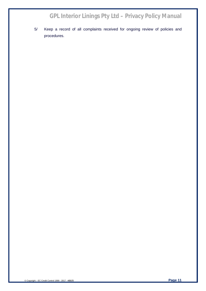5/ Keep a record of all complaints received for ongoing review of policies and procedures.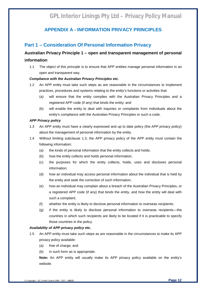### **APPENDIX A - INFORMATION PRIVACY PRINCIPLES**

### **Part 1 – Consideration Of Personal Information Privacy**

### **Australian Privacy Principle 1 – open and transparent management of personal information**

1.1 The object of this principle is to ensure that APP entities manage personal information in an open and transparent way.

### *Compliance with the Australian Privacy Principles etc.*

- 1.2 An APP entity must take such steps as are reasonable in the circumstances to implement practices, procedures and systems relating to the entity's functions or activities that:
	- (a) will ensure that the entity complies with the Australian Privacy Principles and a registered APP code (if any) that binds the entity; and
	- (b) will enable the entity to deal with inquiries or complaints from individuals about the entity's compliance with the Australian Privacy Principles or such a code.

### *APP Privacy policy*

- 1.3 An APP entity must have a clearly expressed and up to date policy (the *APP privacy policy*) about the management of personal information by the entity.
- 1.4 Without limiting subclause 1.3, the APP privacy policy of the APP entity must contain the following information:
	- (a) the kinds of personal information that the entity collects and holds;
	- (b) how the entity collects and holds personal information;
	- (c) the purposes for which the entity collects, holds, uses and discloses personal information;
	- (d) how an individual may access personal information about the individual that is held by the entity and seek the correction of such information;
	- (e) how an individual may complain about a breach of the Australian Privacy Principles, or a registered APP code (if any) that binds the entity, and how the entity will deal with such a complaint;
	- (f) whether the entity is likely to disclose personal information to overseas recipients;
	- (g) if the entity is likely to disclose personal information to overseas recipients—the countries in which such recipients are likely to be located if it is practicable to specify those countries in the policy.

### *Availability of APP privacy policy etc.*

- 1.5 An APP entity must take such steps as are reasonable in the circumstances to make its APP privacy policy available:
	- (a) free of charge; and
	- (b) in such form as is appropriate.

**Note:** An APP entity will usually make its APP privacy policy available on the entity's website.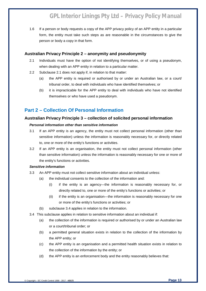1.6 If a person or body requests a copy of the APP privacy policy of an APP entity in a particular form, the entity must take such steps as are reasonable in the circumstances to give the person or body a copy in that form.

### **Australian Privacy Principle 2 – anonymity and pseudonymity**

- 2.1 Individuals must have the option of not identifying themselves, or of using a pseudonym, when dealing with an APP entity in relation to a particular matter.
- 2.2 Subclause 2.1 does not apply if, in relation to that matter:
	- (a) the APP entity is required or authorised by or under an Australian law, or a court/ tribunal order, to deal with individuals who have identified themselves; or
	- (b) it is impracticable for the APP entity to deal with individuals who have not identified themselves or who have used a pseudonym.

### **Part 2 – Collection Of Personal Information**

### **Australian Privacy Principle 3 – collection of solicited personal information**

### *Personal information other than sensitive information*

- 3.1 If an APP entity is an agency, the entity must not collect personal information (other than sensitive information) unless the information is reasonably necessary for, or directly related to, one or more of the entity's functions or activities.
- 3.2 If an APP entity is an organisation, the entity must not collect personal information (other than sensitive information) unless the information is reasonably necessary for one or more of the entity's functions or activities.

### *Sensitive information*

- 3.3 An APP entity must not collect sensitive information about an individual unless:
	- (a) the individual consents to the collection of the information and:
		- (i) if the entity is an agency—the information is reasonably necessary for, or directly related to, one or more of the entity's functions or activities; or
		- (ii) if the entity is an organisation—the information is reasonably necessary for one or more of the entity's functions or activities; or
	- (b) subclause 3.4 applies in relation to the information.
- 3.4 This subclause applies in relation to sensitive information about an individual if:
	- (a) the collection of the information is required or authorised by or under an Australian law or a court/tribunal order; or
	- (b) a permitted general situation exists in relation to the collection of the information by the APP entity; or
	- (c) the APP entity is an organisation and a permitted health situation exists in relation to the collection of the information by the entity; or
	- (d) the APP entity is an enforcement body and the entity reasonably believes that: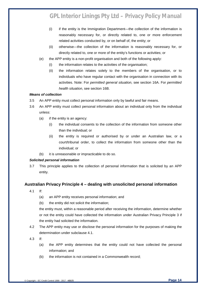- (i) if the entity is the Immigration Department—the collection of the information is reasonably necessary for, or directly related to, one or more enforcement related activities conducted by, or on behalf of, the entity; or
- (ii) otherwise—the collection of the information is reasonably necessary for, or directly related to, one or more of the entity's functions or activities; or
- (e) the APP entity is a non-profit organisation and both of the following apply:
	- (i) the information relates to the activities of the organisation;
	- (ii) the information relates solely to the members of the organisation, or to individuals who have regular contact with the organisation in connection with its activities. Note: For *permitted general situation*, see section 16A. For *permitted health situation*, see section 16B.

#### *Means of collection*

- 3.5 An APP entity must collect personal information only by lawful and fair means.
- 3.6 An APP entity must collect personal information about an individual only from the individual unless:
	- (a) if the entity is an agency:
		- (i) the individual consents to the collection of the information from someone other than the individual; or
		- (ii) the entity is required or authorised by or under an Australian law, or a court/tribunal order, to collect the information from someone other than the individual; or
	- (b) it is unreasonable or impracticable to do so.

### *Solicited personal information*

3.7 This principle applies to the collection of personal information that is solicited by an APP entity.

### **Australian Privacy Principle 4 – dealing with unsolicited personal information**

- 4.1 If:
	- (a) an APP entity receives personal information; and
	- (b) the entity did not solicit the information;

the entity must, within a reasonable period after receiving the information, determine whether or not the entity could have collected the information under Australian Privacy Principle 3 if the entity had solicited the information.

- 4.2 The APP entity may use or disclose the personal information for the purposes of making the determination under subclause 4.1.
- 4.3 If:
	- (a) the APP entity determines that the entity could not have collected the personal information; and
	- (b) the information is not contained in a Commonwealth record;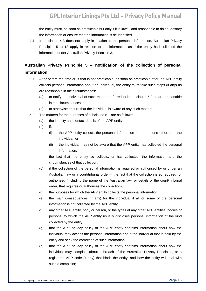the entity must, as soon as practicable but only if it is lawful and reasonable to do so, destroy the information or ensure that the information is de-identified.

4.4 If subclause 4.3 does not apply in relation to the personal information, Australian Privacy Principles 5 to 13 apply in relation to the information as if the entity had collected the information under Australian Privacy Principle 3.

### **Australian Privacy Principle 5 – notification of the collection of personal information**

- 5.1 At or before the time or, if that is not practicable, as soon as practicable after, an APP entity collects personal information about an individual, the entity must take such steps (if any) as are reasonable in the circumstances:
	- (a) to notify the individual of such matters referred to in subclause 5.2 as are reasonable in the circumstances; or
	- (b) to otherwise ensure that the individual is aware of any such matters.
- 5.2 The matters for the purposes of subclause 5.1 are as follows:
	- (a) the identity and contact details of the APP entity;
	- (b) if:
		- (i) the APP entity collects the personal information from someone other than the individual; or
		- (ii) the individual may not be aware that the APP entity has collected the personal information;

the fact that the entity so collects, or has collected, the information and the circumstances of that collection;

- (c) if the collection of the personal information is required or authorised by or under an Australian law or a court/tribunal order— the fact that the collection is so required or authorised (including the name of the Australian law, or details of the court/ tribunal order, that requires or authorises the collection);
- (d) the purposes for which the APP entity collects the personal information;
- (e) the main consequences (if any) for the individual if all or some of the personal information is not collected by the APP entity;
- (f) any other APP entity, body or person, or the types of any other APP entities, bodies or persons, to which the APP entity usually discloses personal information of the kind collected by the entity;
- (g) that the APP privacy policy of the APP entity contains information about how the individual may access the personal information about the individual that is held by the entity and seek the correction of such information;
- (h) that the APP privacy policy of the APP entity contains information about how the individual may complain about a breach of the Australian Privacy Principles, or a registered APP code (if any) that binds the entity, and how the entity will deal with such a complaint;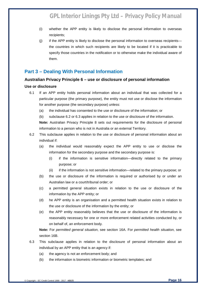- (i) whether the APP entity is likely to disclose the personal information to overseas recipients;
- (i) if the APP entity is likely to disclose the personal information to overseas recipients the countries in which such recipients are likely to be located if it is practicable to specify those countries in the notification or to otherwise make the individual aware of them.

### **Part 3 – Dealing With Personal Information**

### **Australian Privacy Principle 6 – use or disclosure of personal information**

### **Use or disclosure**

- 6.1 If an APP entity holds personal information about an individual that was collected for a particular purpose (the primary purpose), the entity must not use or disclose the information for another purpose (the secondary purpose) unless:
	- (a) the individual has consented to the use or disclosure of the information; or
	- (b) subclause 6.2 or 6.3 applies in relation to the use or disclosure of the information.

**Note:** Australian Privacy Principle 8 sets out requirements for the disclosure of personal information to a person who is not in Australia or an external Territory.

- 6.2 This subclause applies in relation to the use or disclosure of personal information about an individual if:
	- (a) the individual would reasonably expect the APP entity to use or disclose the information for the secondary purpose and the secondary purpose is:
		- (i) if the information is sensitive information—directly related to the primary purpose; or
		- (ii) if the information is not sensitive information—related to the primary purpose; or
	- (b) the use or disclosure of the information is required or authorised by or under an Australian law or a court/tribunal order; or
	- (c) a permitted general situation exists in relation to the use or disclosure of the information by the APP entity; or
	- (d) he APP entity is an organisation and a permitted health situation exists in relation to the use or disclosure of the information by the entity; or
	- (e) the APP entity reasonably believes that the use or disclosure of the information is reasonably necessary for one or more enforcement related activities conducted by, or on behalf of, an enforcement body.

**Note:** For *permitted general situation*, see section 16A. For *permitted health situation*, see section 16B.

- 6.3 This subclause applies in relation to the disclosure of personal information about an individual by an APP entity that is an agency if:
	- (a) the agency is not an enforcement body; and
	- (b) the information is biometric information or biometric templates; and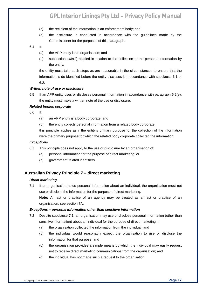- (c) the recipient of the information is an enforcement body; and
- (d) the disclosure is conducted in accordance with the guidelines made by the Commissioner for the purposes of this paragraph.

#### 6.4 If:

- (a) the APP entity is an organisation; and
- (b) subsection 16B(2) applied in relation to the collection of the personal information by the entity;

the entity must take such steps as are reasonable in the circumstances to ensure that the information is de-identified before the entity discloses it in accordance with subclause 6.1 or 6.2.

#### *Written note of use or disclosure*

6.5 If an APP entity uses or discloses personal information in accordance with paragraph 6.2(e), the entity must make a written note of the use or disclosure.

#### *Related bodies corporate*

6.6 If:

- (a) an APP entity is a body corporate; and
- (b) the entity collects personal information from a related body corporate;

this principle applies as if the entity's primary purpose for the collection of the information were the primary purpose for which the related body corporate collected the information.

#### *Exceptions*

- 6.7 This principle does not apply to the use or disclosure by an organisation of:
	- (a) personal information for the purpose of direct marketing; or
	- (b) government related identifiers.

### **Australian Privacy Principle 7 – direct marketing**

### *Direct marketing*

7.1 If an organisation holds personal information about an individual, the organisation must not use or disclose the information for the purpose of direct marketing.

**Note:** An act or practice of an agency may be treated as an act or practice of an organisation, see section 7A.

### *Exceptions – personal information other than sensitive information*

- 7.2 Despite subclause 7.1, an organisation may use or disclose personal information (other than sensitive information) about an individual for the purpose of direct marketing if:
	- (a) the organisation collected the information from the individual; and
	- (b) the individual would reasonably expect the organisation to use or disclose the information for that purpose; and
	- (c) the organisation provides a simple means by which the individual may easily request not to receive direct marketing communications from the organisation; and
	- (d) the individual has not made such a request to the organisation.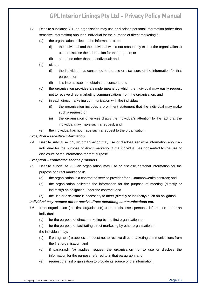- 7.3 Despite subclause 7.1, an organisation may use or disclose personal information (other than sensitive information) about an individual for the purpose of direct marketing if:
	- (a) the organisation collected the information from:
		- (i) the individual and the individual would not reasonably expect the organisation to use or disclose the information for that purpose; or
		- (ii) someone other than the individual; and
	- (b) either:
		- (i) the individual has consented to the use or disclosure of the information for that purpose; or
		- (ii) it is impracticable to obtain that consent; and
	- (c) the organisation provides a simple means by which the individual may easily request not to receive direct marketing communications from the organisation; and
	- (d) in each direct marketing communication with the individual:
		- (i) the organisation includes a prominent statement that the individual may make such a request; or
		- (ii) the organisation otherwise draws the individual's attention to the fact that the individual may make such a request; and
	- (e) the individual has not made such a request to the organisation.

#### *Exception – sensitive information*

7.4 Despite subclause 7.1, an organisation may use or disclose sensitive information about an individual for the purpose of direct marketing if the individual has consented to the use or disclosure of the information for that purpose.

#### *Exception – contracted service providers*

- 7.5 Despite subclause 7.1, an organisation may use or disclose personal information for the purpose of direct marketing if:
	- (a) the organisation is a contracted service provider for a Commonwealth contract; and
	- (b) the organisation collected the information for the purpose of meeting (directly or indirectly) an obligation under the contract; and
	- (c) the use or disclosure is necessary to meet (directly or indirectly) such an obligation.

### *Individual may request not to receive direct marketing communications etc.*

- 7.6 If an organisation (the first organisation) uses or discloses personal information about an individual:
	- (a) for the purpose of direct marketing by the first organisation; or
	- (b) for the purpose of facilitating direct marketing by other organisations;
	- the individual may:
	- (c) if paragraph (a) applies—request not to receive direct marketing communications from the first organisation; and
	- (d) if paragraph (b) applies—request the organisation not to use or disclose the information for the purpose referred to in that paragraph; and
	- (e) request the first organisation to provide its source of the information.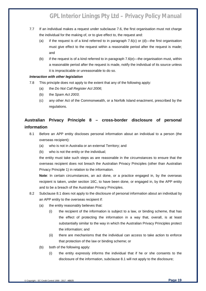- 7.7 If an individual makes a request under subclause 7.6, the first organisation must not charge the individual for the making of, or to give effect to, the request and:
	- (a) if the request is of a kind referred to in paragraph 7.6(c) or (d)—the first organisation must give effect to the request within a reasonable period after the request is made; and
	- (b) if the request is of a kind referred to in paragraph  $7.6(e)$ —the organisation must, within a reasonable period after the request is made, notify the individual of its source unless it is impracticable or unreasonable to do so.

### *Interaction with other legislation*

- 7.8 This principle does not apply to the extent that any of the following apply:
	- (a) the *Do Not Call Register Act 2006*;
	- (b) the *Spam Act 2003*;
	- (c) any other Act of the Commonwealth, or a Norfolk Island enactment, prescribed by the regulations.

### **Australian Privacy Principle 8 – cross-border disclosure of personal information**

- 8.1 Before an APP entity discloses personal information about an individual to a person (the overseas recipient):
	- (a) who is not in Australia or an external Territory; and
	- (b) who is not the entity or the individual;

the entity must take such steps as are reasonable in the circumstances to ensure that the overseas recipient does not breach the Australian Privacy Principles (other than Australian Privacy Principle 1) in relation to the information.

**Note**: In certain circumstances, an act done, or a practice engaged in, by the overseas recipient is taken, under section 16C, to have been done, or engaged in, by the APP entity and to be a breach of the Australian Privacy Principles.

- 8.2 Subclause 8.1 does not apply to the disclosure of personal information about an individual by an APP entity to the overseas recipient if:
	- (a) the entity reasonably believes that:
		- (i) the recipient of the information is subject to a law, or binding scheme, that has the effect of protecting the information in a way that, overall, is at least substantially similar to the way in which the Australian Privacy Principles protect the information; and
		- (ii) there are mechanisms that the individual can access to take action to enforce that protection of the law or binding scheme; or
	- (b) both of the following apply:
		- (i) the entity expressly informs the individual that if he or she consents to the disclosure of the information, subclause 8.1 will not apply to the disclosure;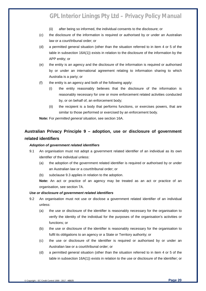- (ii) after being so informed, the individual consents to the disclosure; or
- (c) the disclosure of the information is required or authorised by or under an Australian law or a court/tribunal order; or
- (d) a permitted general situation (other than the situation referred to in item 4 or 5 of the table in subsection 16A(1)) exists in relation to the disclosure of the information by the APP entity; or
- (e) the entity is an agency and the disclosure of the information is required or authorised by or under an international agreement relating to information sharing to which Australia is a party; or
- (f) the entity is an agency and both of the following apply:
	- (i) the entity reasonably believes that the disclosure of the information is reasonably necessary for one or more enforcement related activities conducted by, or on behalf of, an enforcement body;
	- (ii) the recipient is a body that performs functions, or exercises powers, that are similar to those performed or exercised by an enforcement body.

**Note:** For *permitted general situation*, see section 16A.

### **Australian Privacy Principle 9 – adoption, use or disclosure of government related identifiers**

#### *Adoption of government related identifiers*

- 9.1 An organisation must not adopt a government related identifier of an individual as its own identifier of the individual unless:
	- (a) the adoption of the government related identifier is required or authorised by or under an Australian law or a court/tribunal order; or
	- (b) subclause 9.3 applies in relation to the adoption.

**Note:** An act or practice of an agency may be treated as an act or practice of an organisation, see section 7A.

#### *Use or disclosure of government related identifiers*

- 9.2 An organisation must not use or disclose a government related identifier of an individual unless:
	- (a) the use or disclosure of the identifier is reasonably necessary for the organisation to verify the identity of the individual for the purposes of the organisation's activities or functions; or
	- (b) the use or disclosure of the identifier is reasonably necessary for the organisation to fulfil its obligations to an agency or a State or Territory authority; or
	- (c) the use or disclosure of the identifier is required or authorised by or under an Australian law or a court/tribunal order; or
	- (d) a permitted general situation (other than the situation referred to in item 4 or 5 of the table in subsection 16A(1)) exists in relation to the use or disclosure of the identifier; or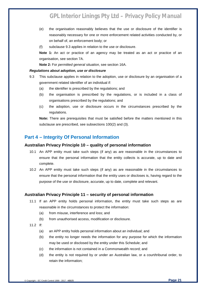- (e) the organisation reasonably believes that the use or disclosure of the identifier is reasonably necessary for one or more enforcement related activities conducted by, or on behalf of, an enforcement body; or
- (f) subclause 9.3 applies in relation to the use or disclosure.

**Note 1:** An act or practice of an agency may be treated as an act or practice of an organisation, see section 7A.

**Note 2:** For *permitted general situation*, see section 16A.

#### *Regulations about adoption, use or disclosure*

- 9.3 This subclause applies in relation to the adoption, use or disclosure by an organisation of a government related identifier of an individual if:
	- (a) the identifier is prescribed by the regulations; and
	- (b) the organisation is prescribed by the regulations, or is included in a class of organisations prescribed by the regulations; and
	- (c) the adoption, use or disclosure occurs in the circumstances prescribed by the regulations.

**Note:** There are prerequisites that must be satisfied before the matters mentioned in this subclause are prescribed, see subsections 100(2) and (3).

### **Part 4 – Integrity Of Personal Information**

### **Australian Privacy Principle 10 – quality of personal information**

- 10.1 An APP entity must take such steps (if any) as are reasonable in the circumstances to ensure that the personal information that the entity collects is accurate, up to date and complete.
- 10.2 An APP entity must take such steps (if any) as are reasonable in the circumstances to ensure that the personal information that the entity uses or discloses is, having regard to the purpose of the use or disclosure, accurate, up to date, complete and relevant.

### **Australian Privacy Principle 11 – security of personal information**

- 11.1 If an APP entity holds personal information, the entity must take such steps as are reasonable in the circumstances to protect the information:
	- (a) from misuse, interference and loss; and
	- (b) from unauthorised access, modification or disclosure.
- 11.2 If:
	- (a) an APP entity holds personal information about an individual; and
	- (b) the entity no longer needs the information for any purpose for which the information may be used or disclosed by the entity under this Schedule; and
	- (c) the information is not contained in a Commonwealth record; and
	- (d) the entity is not required by or under an Australian law, or a court/tribunal order, to retain the information;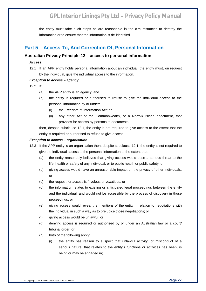the entity must take such steps as are reasonable in the circumstances to destroy the information or to ensure that the information is de-identified.

### **Part 5 – Access To, And Correction Of, Personal Information**

### **Australian Privacy Principle 12 – access to personal information**

#### *Access*

12.1 If an APP entity holds personal information about an individual, the entity must, on request by the individual, give the individual access to the information.

#### *Exception to access – agency*

- 12.2 If:
	- (a) the APP entity is an agency; and
	- (b) the entity is required or authorised to refuse to give the individual access to the personal information by or under:
		- (i) the Freedom of Information Act; or
		- (ii) any other Act of the Commonwealth, or a Norfolk Island enactment, that provides for access by persons to documents;

then, despite subclause 12.1, the entity is not required to give access to the extent that the entity is required or authorised to refuse to give access.

#### *Exception to access – organisation*

- 12.3 If the APP entity is an organisation then, despite subclause 12.1, the entity is not required to give the individual access to the personal information to the extent that:
	- (a) the entity reasonably believes that giving access would pose a serious threat to the life, health or safety of any individual, or to public health or public safety; or
	- (b) giving access would have an unreasonable impact on the privacy of other individuals; or
	- (c) the request for access is frivolous or vexatious; or
	- (d) the information relates to existing or anticipated legal proceedings between the entity and the individual, and would not be accessible by the process of discovery in those proceedings; or
	- (e) giving access would reveal the intentions of the entity in relation to negotiations with the individual in such a way as to prejudice those negotiations; or
	- (f) giving access would be unlawful; or
	- (g) denying access is required or authorised by or under an Australian law or a court/ tribunal order; or
	- (h) both of the following apply:
		- (i) the entity has reason to suspect that unlawful activity, or misconduct of a serious nature, that relates to the entity's functions or activities has been, is being or may be engaged in;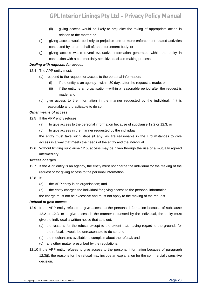- (ii) giving access would be likely to prejudice the taking of appropriate action in relation to the matter; or
- (i) giving access would be likely to prejudice one or more enforcement related activities conducted by, or on behalf of, an enforcement body; or
- (j) giving access would reveal evaluative information generated within the entity in connection with a commercially sensitive decision-making process.

#### *Dealing with requests for access*

- 12.4 The APP entity must:
	- (a) respond to the request for access to the personal information:
		- (i) if the entity is an agency—within 30 days after the request is made; or
		- (ii) if the entity is an organisation—within a reasonable period after the request is made; and
	- (b) give access to the information in the manner requested by the individual, if it is reasonable and practicable to do so.

#### *Other means of access*

12.5 If the APP entity refuses:

- (a) to give access to the personal information because of subclause 12.2 or 12.3; or
- (b) to give access in the manner requested by the individual;

the entity must take such steps (if any) as are reasonable in the circumstances to give access in a way that meets the needs of the entity and the individual.

12.6 Without limiting subclause 12.5, access may be given through the use of a mutually agreed intermediary.

#### *Access charges*

- 12.7 If the APP entity is an agency, the entity must not charge the individual for the making of the request or for giving access to the personal information.
- 12.8 If:
	- (a) the APP entity is an organisation; and
	- (b) the entity charges the individual for giving access to the personal information;

the charge must not be excessive and must not apply to the making of the request.

### *Refusal to give access*

- 12.9 If the APP entity refuses to give access to the personal information because of subclause 12.2 or 12.3, or to give access in the manner requested by the individual, the entity must give the individual a written notice that sets out:
	- (a) the reasons for the refusal except to the extent that, having regard to the grounds for the refusal, it would be unreasonable to do so; and
	- (b) the mechanisms available to complain about the refusal; and
	- (c) any other matter prescribed by the regulations.
- 12.10 If the APP entity refuses to give access to the personal information because of paragraph 12.3(j), the reasons for the refusal may include an explanation for the commercially sensitive decision.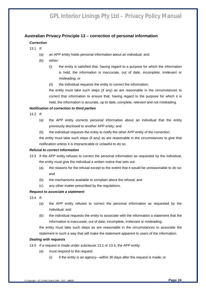### **Australian Privacy Principle 13 – correction of personal information**

### *Correction*

- 13.1 If:
	- (a) an APP entity holds personal information about an individual; and
	- (b) either:
		- (i) the entity is satisfied that, having regard to a purpose for which the information is held, the information is inaccurate, out of date, incomplete, irrelevant or misleading; or
		- (ii) the individual requests the entity to correct the information;

the entity must take such steps (if any) as are reasonable in the circumstances to correct that information to ensure that, having regard to the purpose for which it is held, the information is accurate, up to date, complete, relevant and not misleading.

### *Notification of correction to third parties*

- 13.2 If:
	- (a) the APP entity corrects personal information about an individual that the entity previously disclosed to another APP entity; and
	- (b) the individual requests the entity to notify the other APP entity of the correction;

the entity must take such steps (if any) as are reasonable in the circumstances to give that notification unless it is impracticable or unlawful to do so.

#### *Refusal to correct information*

- 13.3 If the APP entity refuses to correct the personal information as requested by the individual, the entity must give the individual a written notice that sets out:
	- (a) the reasons for the refusal except to the extent that it would be unreasonable to do so; and
	- (b) the mechanisms available to complain about the refusal; and
	- (c) any other matter prescribed by the regulations.

### *Request to associate a statement*

- 13.4 If:
	- (a) the APP entity refuses to correct the personal information as requested by the individual; and
	- (b) the individual requests the entity to associate with the information a statement that the information is inaccurate, out of date, incomplete, irrelevant or misleading;

the entity must take such steps as are reasonable in the circumstances to associate the statement in such a way that will make the statement apparent to users of the information.

#### *Dealing with requests*

- 13.5 If a request is made under subclause 13.1 or 13.4, the APP entity:
	- (a) must respond to the request:
		- (i) if the entity is an agency—within 30 days after the request is made; or